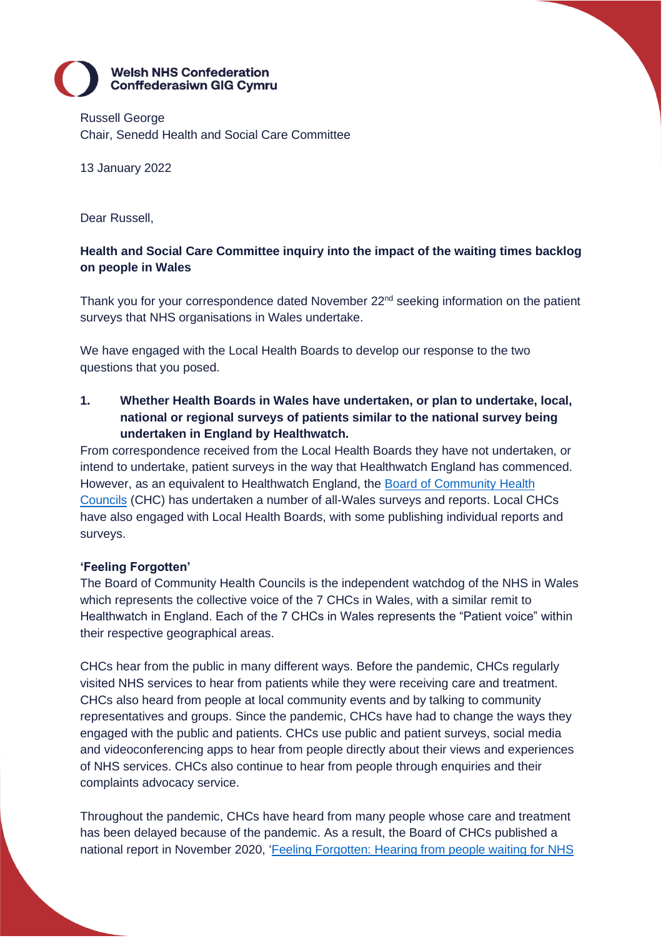# **Welsh NHS Confederation Conffederasiwn GIG Cymru**

Russell George Chair, Senedd Health and Social Care Committee

# 13 January 2022

Dear Russell,

# **Health and Social Care Committee inquiry into the impact of the waiting times backlog on people in Wales**

Thank you for your correspondence dated November  $22<sup>nd</sup>$  seeking information on the patient surveys that NHS organisations in Wales undertake.

We have engaged with the Local Health Boards to develop our response to the two questions that you posed.

**1. Whether Health Boards in Wales have undertaken, or plan to undertake, local, national or regional surveys of patients similar to the national survey being undertaken in England by Healthwatch.**

From correspondence received from the Local Health Boards they have not undertaken, or intend to undertake, patient surveys in the way that Healthwatch England has commenced. However, as an equivalent to Healthwatch England, the [Board of Community Health](https://boardchc.nhs.wales/having-a-say/what-weve-heard-from-you1/)  [Councils](https://boardchc.nhs.wales/having-a-say/what-weve-heard-from-you1/) (CHC) has undertaken a number of all-Wales surveys and reports. Local CHCs have also engaged with Local Health Boards, with some publishing individual reports and surveys.

## **'Feeling Forgotten'**

The Board of Community Health Councils is the independent watchdog of the NHS in Wales which represents the collective voice of the 7 CHCs in Wales, with a similar remit to Healthwatch in England. Each of the 7 CHCs in Wales represents the "Patient voice" within their respective geographical areas.

CHCs hear from the public in many different ways. Before the pandemic, CHCs regularly visited NHS services to hear from patients while they were receiving care and treatment. CHCs also heard from people at local community events and by talking to community representatives and groups. Since the pandemic, CHCs have had to change the ways they engaged with the public and patients. CHCs use public and patient surveys, social media and videoconferencing apps to hear from people directly about their views and experiences of NHS services. CHCs also continue to hear from people through enquiries and their complaints advocacy service.

Throughout the pandemic, CHCs have heard from many people whose care and treatment has been delayed because of the pandemic. As a result, the Board of CHCs published a national report in November 2020, ['Feeling Forgotten: Hearing from people waiting for NHS](https://southglamorganchc.nhs.wales/files/reports/chc-board-reports/board-reports-2020-21/feeling-forgotten-waiting-for-care-and-treatment-during-the-coronavirus-pandemic-english-pdf/)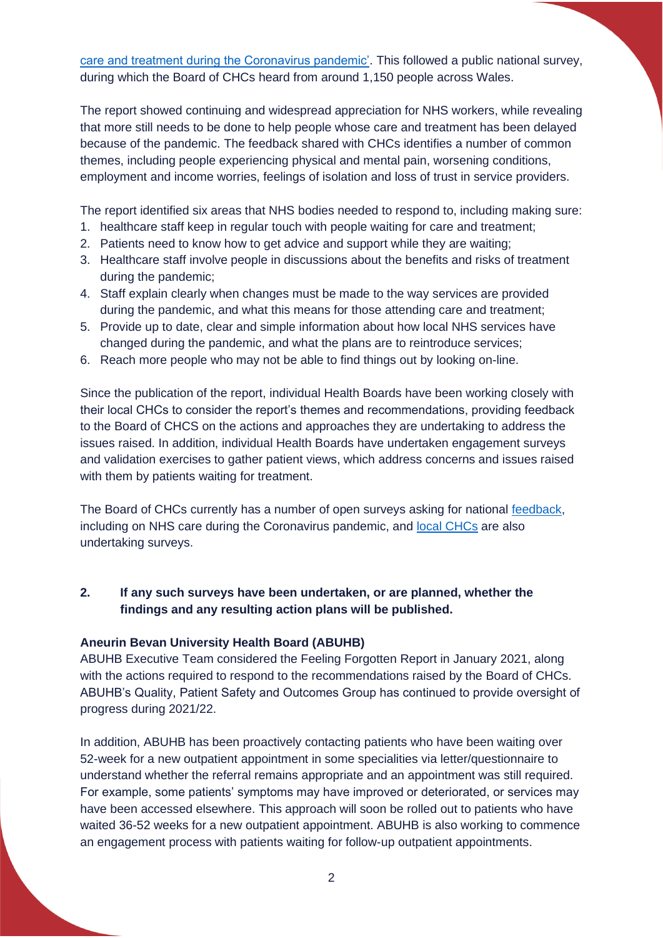[care and treatment during the Coronavirus pandemic'.](https://southglamorganchc.nhs.wales/files/reports/chc-board-reports/board-reports-2020-21/feeling-forgotten-waiting-for-care-and-treatment-during-the-coronavirus-pandemic-english-pdf/) This followed a public national survey, during which the Board of CHCs heard from around 1,150 people across Wales.

The report showed continuing and widespread appreciation for NHS workers, while revealing that more still needs to be done to help people whose care and treatment has been delayed because of the pandemic. The feedback shared with CHCs identifies a number of common themes, including people experiencing physical and mental pain, worsening conditions, employment and income worries, feelings of isolation and loss of trust in service providers.

The report identified six areas that NHS bodies needed to respond to, including making sure:

- 1. healthcare staff keep in regular touch with people waiting for care and treatment;
- 2. Patients need to know how to get advice and support while they are waiting;
- 3. Healthcare staff involve people in discussions about the benefits and risks of treatment during the pandemic;
- 4. Staff explain clearly when changes must be made to the way services are provided during the pandemic, and what this means for those attending care and treatment;
- 5. Provide up to date, clear and simple information about how local NHS services have changed during the pandemic, and what the plans are to reintroduce services;
- 6. Reach more people who may not be able to find things out by looking on-line.

Since the publication of the report, individual Health Boards have been working closely with their local CHCs to consider the report's themes and recommendations, providing feedback to the Board of CHCS on the actions and approaches they are undertaking to address the issues raised. In addition, individual Health Boards have undertaken engagement surveys and validation exercises to gather patient views, which address concerns and issues raised with them by patients waiting for treatment.

The Board of CHCs currently has a number of open surveys asking for national [feedback,](https://boardchc.nhs.wales/having-a-say/share-your-feedback/) including on NHS care during the Coronavirus pandemic, and [local CHCs](https://boardchc.nhs.wales/your-local-chc/) are also undertaking surveys.

# **2. If any such surveys have been undertaken, or are planned, whether the findings and any resulting action plans will be published.**

#### **Aneurin Bevan University Health Board (ABUHB)**

ABUHB Executive Team considered the Feeling Forgotten Report in January 2021, along with the actions required to respond to the recommendations raised by the Board of CHCs. ABUHB's Quality, Patient Safety and Outcomes Group has continued to provide oversight of progress during 2021/22.

In addition, ABUHB has been proactively contacting patients who have been waiting over 52-week for a new outpatient appointment in some specialities via letter/questionnaire to understand whether the referral remains appropriate and an appointment was still required. For example, some patients' symptoms may have improved or deteriorated, or services may have been accessed elsewhere. This approach will soon be rolled out to patients who have waited 36-52 weeks for a new outpatient appointment. ABUHB is also working to commence an engagement process with patients waiting for follow-up outpatient appointments.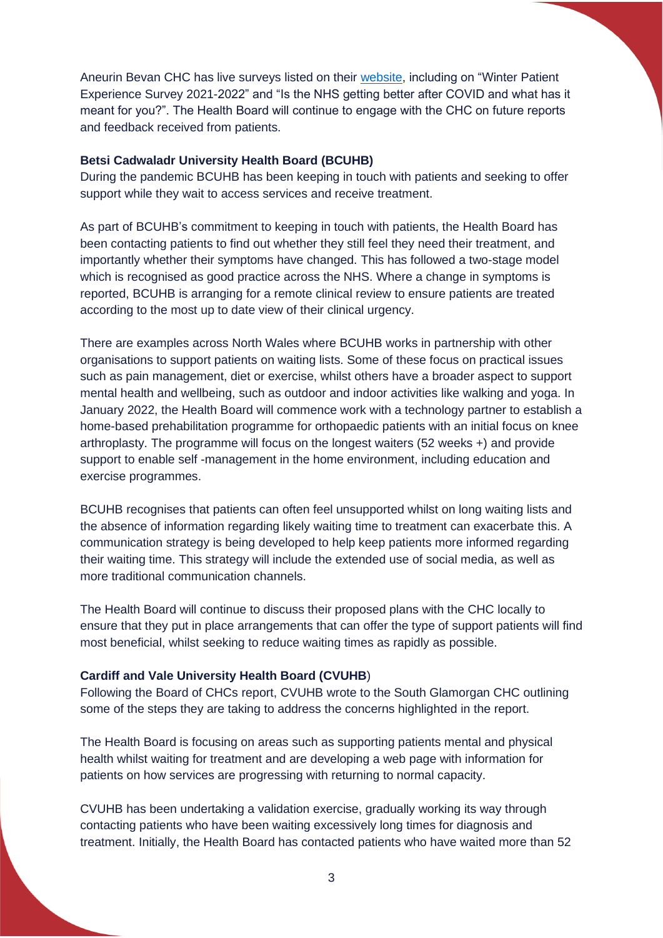Aneurin Bevan CHC has live surveys listed on their [website,](https://aneurinbevanchc.nhs.wales/get-involved/live-surveys/) including on "Winter Patient Experience Survey 2021-2022" and "Is the NHS getting better after COVID and what has it meant for you?". The Health Board will continue to engage with the CHC on future reports and feedback received from patients.

### **Betsi Cadwaladr University Health Board (BCUHB)**

During the pandemic BCUHB has been keeping in touch with patients and seeking to offer support while they wait to access services and receive treatment.

As part of BCUHB's commitment to keeping in touch with patients, the Health Board has been contacting patients to find out whether they still feel they need their treatment, and importantly whether their symptoms have changed. This has followed a two-stage model which is recognised as good practice across the NHS. Where a change in symptoms is reported, BCUHB is arranging for a remote clinical review to ensure patients are treated according to the most up to date view of their clinical urgency.

There are examples across North Wales where BCUHB works in partnership with other organisations to support patients on waiting lists. Some of these focus on practical issues such as pain management, diet or exercise, whilst others have a broader aspect to support mental health and wellbeing, such as outdoor and indoor activities like walking and yoga. In January 2022, the Health Board will commence work with a technology partner to establish a home-based prehabilitation programme for orthopaedic patients with an initial focus on knee arthroplasty. The programme will focus on the longest waiters (52 weeks +) and provide support to enable self -management in the home environment, including education and exercise programmes.

BCUHB recognises that patients can often feel unsupported whilst on long waiting lists and the absence of information regarding likely waiting time to treatment can exacerbate this. A communication strategy is being developed to help keep patients more informed regarding their waiting time. This strategy will include the extended use of social media, as well as more traditional communication channels.

The Health Board will continue to discuss their proposed plans with the CHC locally to ensure that they put in place arrangements that can offer the type of support patients will find most beneficial, whilst seeking to reduce waiting times as rapidly as possible.

#### **Cardiff and Vale University Health Board (CVUHB**)

Following the Board of CHCs report, CVUHB wrote to the South Glamorgan CHC outlining some of the steps they are taking to address the concerns highlighted in the report.

The Health Board is focusing on areas such as supporting patients mental and physical health whilst waiting for treatment and are developing a web page with information for patients on how services are progressing with returning to normal capacity.

CVUHB has been undertaking a validation exercise, gradually working its way through contacting patients who have been waiting excessively long times for diagnosis and treatment. Initially, the Health Board has contacted patients who have waited more than 52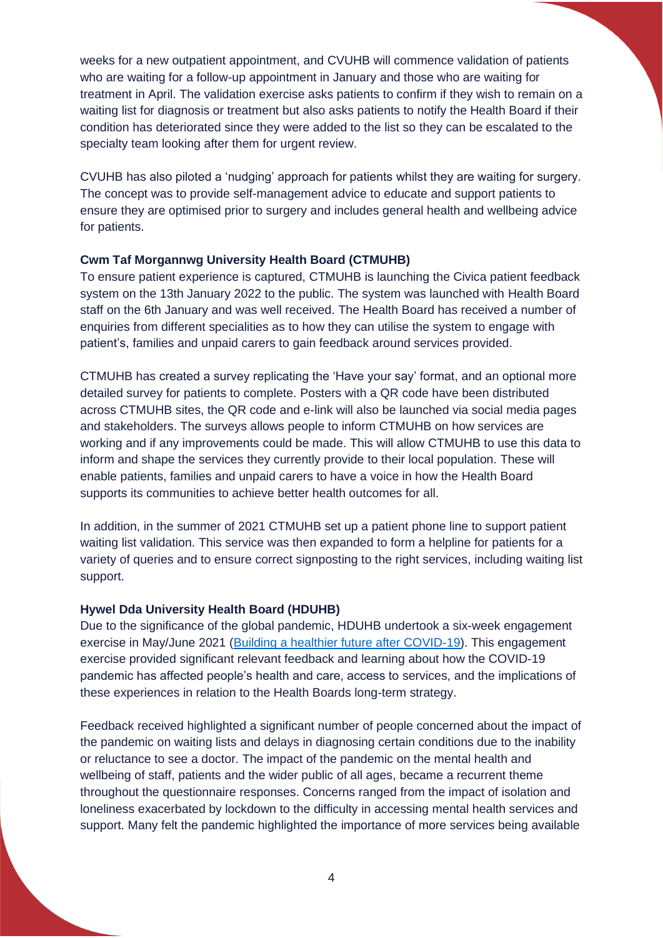weeks for a new outpatient appointment, and CVUHB will commence validation of patients who are waiting for a follow-up appointment in January and those who are waiting for treatment in April. The validation exercise asks patients to confirm if they wish to remain on a waiting list for diagnosis or treatment but also asks patients to notify the Health Board if their condition has deteriorated since they were added to the list so they can be escalated to the specialty team looking after them for urgent review.

CVUHB has also piloted a 'nudging' approach for patients whilst they are waiting for surgery. The concept was to provide self-management advice to educate and support patients to ensure they are optimised prior to surgery and includes general health and wellbeing advice for patients.

### **Cwm Taf Morgannwg University Health Board (CTMUHB)**

To ensure patient experience is captured, CTMUHB is launching the Civica patient feedback system on the 13th January 2022 to the public. The system was launched with Health Board staff on the 6th January and was well received. The Health Board has received a number of enquiries from different specialities as to how they can utilise the system to engage with patient's, families and unpaid carers to gain feedback around services provided.

CTMUHB has created a survey replicating the 'Have your say' format, and an optional more detailed survey for patients to complete. Posters with a QR code have been distributed across CTMUHB sites, the QR code and e-link will also be launched via social media pages and stakeholders. The surveys allows people to inform CTMUHB on how services are working and if any improvements could be made. This will allow CTMUHB to use this data to inform and shape the services they currently provide to their local population. These will enable patients, families and unpaid carers to have a voice in how the Health Board supports its communities to achieve better health outcomes for all.

In addition, in the summer of 2021 CTMUHB set up a patient phone line to support patient waiting list validation. This service was then expanded to form a helpline for patients for a variety of queries and to ensure correct signposting to the right services, including waiting list support.

#### **Hywel Dda University Health Board (HDUHB)**

Due to the significance of the global pandemic, HDUHB undertook a six-week engagement exercise in May/June 2021 [\(Building a healthier future after COVID-19\)](https://www.haveyoursay.hduhb.wales.nhs.uk/building-a-healthier-future-after-covid-19). This engagement exercise provided significant relevant feedback and learning about how the COVID-19 pandemic has affected people's health and care, access to services, and the implications of these experiences in relation to the Health Boards long-term strategy.

Feedback received highlighted a significant number of people concerned about the impact of the pandemic on waiting lists and delays in diagnosing certain conditions due to the inability or reluctance to see a doctor. The impact of the pandemic on the mental health and wellbeing of staff, patients and the wider public of all ages, became a recurrent theme throughout the questionnaire responses. Concerns ranged from the impact of isolation and loneliness exacerbated by lockdown to the difficulty in accessing mental health services and support. Many felt the pandemic highlighted the importance of more services being available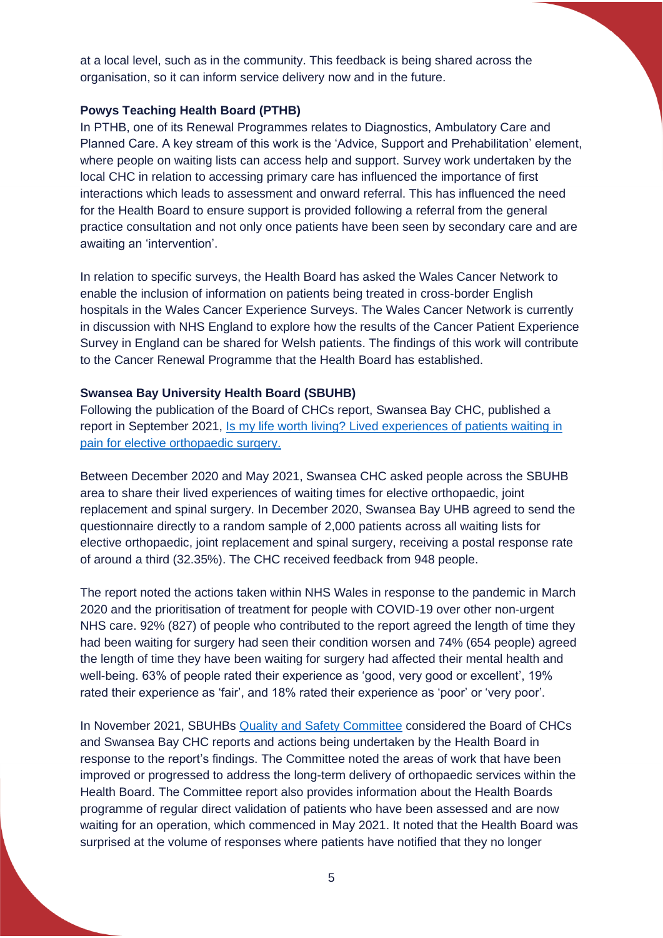at a local level, such as in the community. This feedback is being shared across the organisation, so it can inform service delivery now and in the future.

### **Powys Teaching Health Board (PTHB)**

In PTHB, one of its Renewal Programmes relates to Diagnostics, Ambulatory Care and Planned Care. A key stream of this work is the 'Advice, Support and Prehabilitation' element, where people on waiting lists can access help and support. Survey work undertaken by the local CHC in relation to accessing primary care has influenced the importance of first interactions which leads to assessment and onward referral. This has influenced the need for the Health Board to ensure support is provided following a referral from the general practice consultation and not only once patients have been seen by secondary care and are awaiting an 'intervention'.

In relation to specific surveys, the Health Board has asked the Wales Cancer Network to enable the inclusion of information on patients being treated in cross-border English hospitals in the Wales Cancer Experience Surveys. The Wales Cancer Network is currently in discussion with NHS England to explore how the results of the Cancer Patient Experience Survey in England can be shared for Welsh patients. The findings of this work will contribute to the Cancer Renewal Programme that the Health Board has established.

### **Swansea Bay University Health Board (SBUHB)**

Following the publication of the Board of CHCs report, Swansea Bay CHC, published a report in September 2021, [Is my life worth living? Lived experiences of patients waiting in](https://sbuhb.nhs.wales/about-us/key-documents-folder/quality-and-safety-committee-papers/quality-and-safety-committee-papers-september-2021/6-2-chc-orthopaedic-report-2021-final-pdf/)  [pain for elective orthopaedic surgery.](https://sbuhb.nhs.wales/about-us/key-documents-folder/quality-and-safety-committee-papers/quality-and-safety-committee-papers-september-2021/6-2-chc-orthopaedic-report-2021-final-pdf/)

Between December 2020 and May 2021, Swansea CHC asked people across the SBUHB area to share their lived experiences of waiting times for elective orthopaedic, joint replacement and spinal surgery. In December 2020, Swansea Bay UHB agreed to send the questionnaire directly to a random sample of 2,000 patients across all waiting lists for elective orthopaedic, joint replacement and spinal surgery, receiving a postal response rate of around a third (32.35%). The CHC received feedback from 948 people.

The report noted the actions taken within NHS Wales in response to the pandemic in March 2020 and the prioritisation of treatment for people with COVID-19 over other non-urgent NHS care. 92% (827) of people who contributed to the report agreed the length of time they had been waiting for surgery had seen their condition worsen and 74% (654 people) agreed the length of time they have been waiting for surgery had affected their mental health and well-being. 63% of people rated their experience as 'good, very good or excellent', 19% rated their experience as 'fair', and 18% rated their experience as 'poor' or 'very poor'.

In November 2021, SBUHBs [Quality and Safety Committee](https://sbuhb.nhs.wales/about-us/key-documents-folder/quality-and-safety-committee-papers/quality-and-safety-committee-papers-november-2021/4-4-chc-report-orthopaedic-waiting-times-pdf/) considered the Board of CHCs and Swansea Bay CHC reports and actions being undertaken by the Health Board in response to the report's findings. The Committee noted the areas of work that have been improved or progressed to address the long-term delivery of orthopaedic services within the Health Board. The Committee report also provides information about the Health Boards programme of regular direct validation of patients who have been assessed and are now waiting for an operation, which commenced in May 2021. It noted that the Health Board was surprised at the volume of responses where patients have notified that they no longer